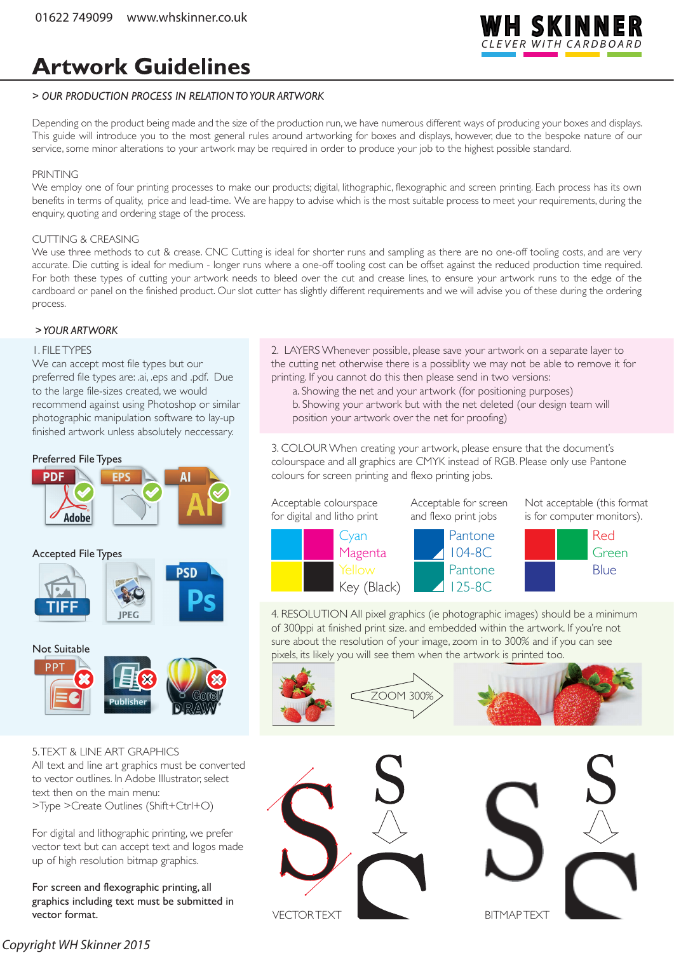

## **Artwork Guidelines**

#### *> OUR PRODUCTION PROCESS IN RELATION TO YOUR ARTWORK*

Depending on the product being made and the size of the production run, we have numerous different ways of producing your boxes and displays. This guide will introduce you to the most general rules around artworking for boxes and displays, however, due to the bespoke nature of our service, some minor alterations to your artwork may be required in order to produce your job to the highest possible standard.

#### PRINTING

We employ one of four printing processes to make our products; digital, lithographic, flexographic and screen printing. Each process has its own benefits in terms of quality, price and lead-time. We are happy to advise which is the most suitable process to meet your requirements, during the enquiry, quoting and ordering stage of the process.

#### CUTTING & CREASING

We use three methods to cut & crease. CNC Cutting is ideal for shorter runs and sampling as there are no one-off tooling costs, and are very accurate. Die cutting is ideal for medium - longer runs where a one-off tooling cost can be offset against the reduced production time required. For both these types of cutting your artwork needs to bleed over the cut and crease lines, to ensure your artwork runs to the edge of the cardboard or panel on the finished product. Our slot cutter has slightly different requirements and we will advise you of these during the ordering process.

#### *> YOUR ARTWORK*

#### 1. FILE TYPES

We can accept most file types but our preferred file types are: .ai, .eps and .pdf. Due to the large file-sizes created, we would recommend against using Photoshop or similar photographic manipulation software to lay-up finished artwork unless absolutely neccessary.

#### Preferred File Types





5. TEXT & LINE ART GRAPHICS All text and line art graphics must be converted to vector outlines. In Adobe Illustrator, select text then on the main menu: >Type >Create Outlines (Shift+Ctrl+O)

For digital and lithographic printing, we prefer vector text but can accept text and logos made up of high resolution bitmap graphics.

For screen and flexographic printing, all graphics including text must be submitted in vector format.

2. LAYERS Whenever possible, please save your artwork on a separate layer to the cutting net otherwise there is a possiblity we may not be able to remove it for printing. If you cannot do this then please send in two versions:

 a. Showing the net and your artwork (for positioning purposes) b. Showing your artwork but with the net deleted (our design team will position your artwork over the net for proofing)

3. COLOUR When creating your artwork, please ensure that the document's colourspace and all graphics are CMYK instead of RGB. Please only use Pantone colours for screen printing and flexo printing jobs.



4. RESOLUTION All pixel graphics (ie photographic images) should be a minimum of 300ppi at finished print size. and embedded within the artwork. If you're not sure about the resolution of your image, zoom in to 300% and if you can see pixels, its likely you will see them when the artwork is printed too.